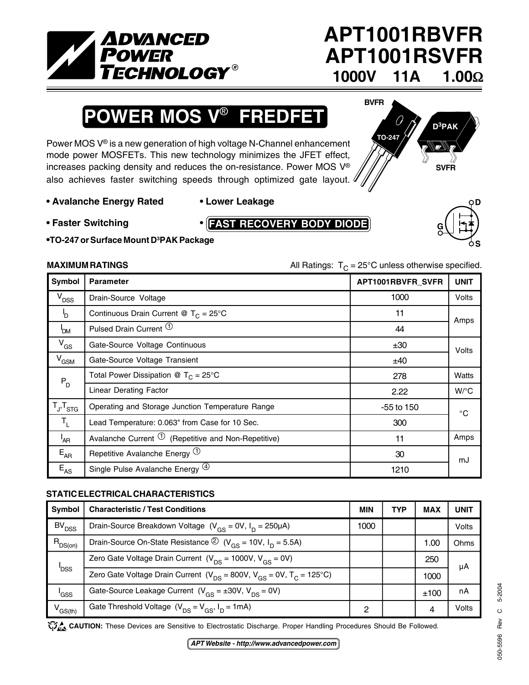

## **APT1001RBVFR APT1001RSVFR 1000V 11A 1.00**Ω

# **POWER MOS V**® **FREDFET**

Power MOS V® is a new generation of high voltage N-Channel enhancement mode power MOSFETs. This new technology minimizes the JFET effect, increases packing density and reduces the on-resistance. Power MOS V® also achieves faster switching speeds through optimized gate layout.

### **• Avalanche Energy Rated • Lower Leakage**

- **Faster Switching •**
- **FAST RECOVERY BODY DIODE**



**•TO-247 or Surface Mount D3 PAK Package**

**MAXIMUM RATINGS** MAXIMUM RATINGS All Ratings:  $T_c = 25^\circ \text{C}$  unless otherwise specified.

**TO-247**

**BVFR**

| Symbol                  | <b>Parameter</b>                                                 | APT1001RBVFR_SVFR | <b>UNIT</b>  |  |
|-------------------------|------------------------------------------------------------------|-------------------|--------------|--|
| V <sub>DSS</sub>        | Drain-Source Voltage                                             | 1000              | <b>Volts</b> |  |
| P.                      | Continuous Drain Current @ $T_c = 25^{\circ}$ C                  | 11                | Amps         |  |
| 'DM                     | Pulsed Drain Current <sup>1</sup>                                | 44                |              |  |
| $V_{GS}$                | Gate-Source Voltage Continuous                                   | ±30               | Volts        |  |
| $V_{GSM}$               | Gate-Source Voltage Transient                                    | ±40               |              |  |
| $\mathsf{P}_\mathsf{D}$ | Total Power Dissipation @ $T_c = 25^{\circ}C$                    | 278               | Watts        |  |
|                         | <b>Linear Derating Factor</b>                                    | 2.22              | $W$ /°C      |  |
| $T_{J}$ , $T_{STG}$     | Operating and Storage Junction Temperature Range                 | $-55$ to 150      | $^{\circ}$ C |  |
| $T_{L}$                 | Lead Temperature: 0.063" from Case for 10 Sec.                   | 300               |              |  |
| <sup>I</sup> AR         | Avalanche Current $\overline{O}$ (Repetitive and Non-Repetitive) | 11                | Amps         |  |
| $E_{AR}$                | Repetitive Avalanche Energy $\Phi$                               | 30                | mJ           |  |
| $E_{AS}$                | Single Pulse Avalanche Energy <sup>(4)</sup>                     | 1210              |              |  |

### **STATIC ELECTRICAL CHARACTERISTICS**

| Symbol                  | <b>Characteristic / Test Conditions</b>                                                       | <b>MIN</b> | TYP | <b>MAX</b> | UNIT  |
|-------------------------|-----------------------------------------------------------------------------------------------|------------|-----|------------|-------|
| BV <sub>DSS</sub>       | Drain-Source Breakdown Voltage $(V_{GS} = 0V, I_D = 250 \mu A)$                               | 1000       |     |            | Volts |
| $R_{DS(on)}$            | Drain-Source On-State Resistance $\circled{2}$ (V <sub>GS</sub> = 10V, I <sub>D</sub> = 5.5A) |            |     | 1.00       | Ohms  |
| <b>P</b> <sub>DSS</sub> | Zero Gate Voltage Drain Current ( $V_{DS}$ = 1000V, $V_{CS}$ = 0V)                            |            |     | 250        | μA    |
|                         | Zero Gate Voltage Drain Current ( $V_{DS}$ = 800V, $V_{GS}$ = 0V, $T_C$ = 125°C)              |            |     | 1000       |       |
| 'GSS                    | Gate-Source Leakage Current $(V_{GS} = \pm 30V, V_{DS} = 0V)$                                 |            |     | ±100       | nA    |
| V <sub>GS(th)</sub>     | Gate Threshold Voltage $(V_{DS} = V_{GS}, I_D = 1mA)$                                         | ົ          |     | 4          | Volts |

CAUTION: These Devices are Sensitive to Electrostatic Discharge. Proper Handling Procedures Should Be Followed.

050-5596 Rev C 5-2004

050-5596

 $\circ$ Rev

5-2004



**D3PAK**

**SVFR**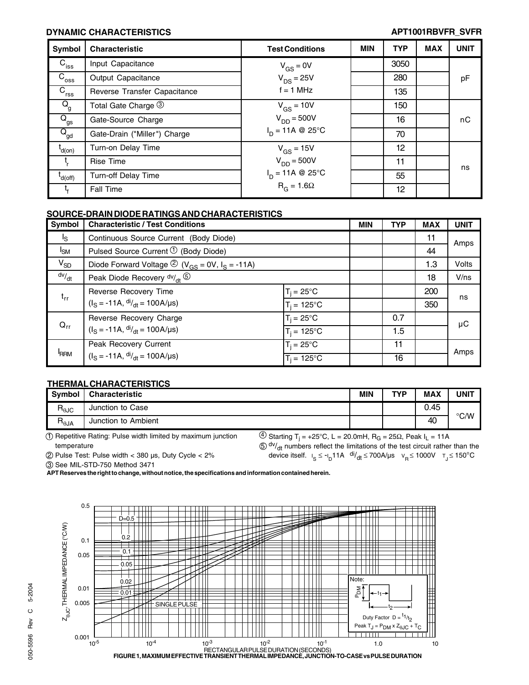### **DYNAMIC CHARACTERISTICS APT1001RBVFR\_SVFR**

| Symbol                      | <b>Characteristic</b>        | <b>Test Conditions</b>            | <b>MIN</b> | <b>TYP</b> | <b>MAX</b> | <b>UNIT</b> |
|-----------------------------|------------------------------|-----------------------------------|------------|------------|------------|-------------|
| $C_{\text{iss}}$            | Input Capacitance            | $V_{GS} = 0V$                     |            | 3050       |            |             |
| $C_{\rm{oss}}$              | Output Capacitance           | $V_{DS}$ = 25V                    |            | 280        |            | pF          |
| $\overline{C}_{\text{rss}}$ | Reverse Transfer Capacitance | $f = 1$ MHz                       |            | 135        |            |             |
| $Q_{\rm g}$                 | Total Gate Charge 3          | $V_{GS}$ = 10V                    |            | 150        |            |             |
| $\overline{Q}_{\rm gs}$     | Gate-Source Charge           | $V_{DD} = 500V$                   |            | 16         |            | пC          |
| $\overline{Q}_{gd}$         | Gate-Drain ("Miller") Charge | $I_{D} = 11A \otimes 25^{\circ}C$ |            | 70         |            |             |
| t<br>d(on)                  | Turn-on Delay Time           | $V_{GS}$ = 15V                    |            | 12         |            |             |
|                             | <b>Rise Time</b>             | $V_{DD} = 500V$                   |            | 11         |            | ns          |
| $L d(off)$                  | Turn-off Delay Time          | $I_D = 11A \otimes 25^{\circ}C$   |            | 55         |            |             |
|                             | Fall Time                    | $R_G = 1.6\Omega$                 |            | 12         |            |             |

#### **SOURCE-DRAIN DIODE RATINGS AND CHARACTERISTICS**

| Symbol         | <b>Characteristic / Test Conditions</b>                                                                |                      | <b>MIN</b> | <b>TYP</b> | <b>MAX</b> | <b>UNIT</b> |
|----------------|--------------------------------------------------------------------------------------------------------|----------------------|------------|------------|------------|-------------|
| l <sub>S</sub> | Continuous Source Current (Body Diode)                                                                 |                      |            |            | 11         | Amps        |
| $I_{SM}$       | Pulsed Source Current $\mathcal{D}$ (Body Diode)                                                       |                      |            |            | 44         |             |
| $V_{SD}$       | Diode Forward Voltage $\circled{2}$ (V <sub>GS</sub> = 0V, I <sub>S</sub> = -11A)                      |                      |            |            | 1.3        | Volts       |
| dv/dt          | Peak Diode Recovery $\frac{dv}{dt}$ (5)                                                                |                      |            |            | 18         | V/ns        |
| $t_{rr}$       | Reverse Recovery Time                                                                                  | $T_i = 25^{\circ}C$  |            |            | 200        | ns          |
|                | $(IS = -11A, dIdt = 100A/µs)$                                                                          | $T_i = 125^{\circ}C$ |            |            | 350        |             |
| $Q_{rr}$       | Reverse Recovery Charge<br>$(I_S = -11A, dI/dt = 100A/\mu s)$                                          | $T_i = 25^{\circ}C$  |            | 0.7        |            | μC          |
|                |                                                                                                        | $T_i = 125^{\circ}C$ |            | 1.5        |            |             |
| <b>FRRM</b>    | $T_i = 25^{\circ}$ C<br>Peak Recovery Current<br>$(IS = -11A, dIdt = 100A/µs)$<br>$T_i = 125^{\circ}C$ |                      |            | 11         |            | Amps        |
|                |                                                                                                        |                      |            | 16         |            |             |

#### **THERMAL CHARACTERISTICS**

| <b>Symbol</b>                               | <b>Characteristic</b> | MIN | TVD | <b>MAX</b> | <b>UNIT</b>   |
|---------------------------------------------|-----------------------|-----|-----|------------|---------------|
| $R_{\theta \text{JC}}$                      | Junction to Case      |     |     | 0.45       |               |
| $\mathsf{R}_{\theta \mathsf{J} \mathsf{A}}$ | Junction to Ambient   |     |     | 40         | $\degree$ C/W |

1 Repetitive Rating: Pulse width limited by maximum junction temperature

<sup>(4)</sup> Starting T<sub>j</sub> = +25°C, L = 20.0mH, R<sub>G</sub> = 25Ω, Peak I<sub>L</sub> = 11A

2 Pulse Test: Pulse width < 380 µs, Duty Cycle < 2%

 $50$  dv/<sub>dt</sub> numbers reflect the limitations of the test circuit rather than the device itself.  $I_S \le -I_D 11A$  di<sub>/dt</sub> ≤ 700A/µs  $V_R \le 1000V$   $T_J \le 150^{\circ}C$ 

3 See MIL-STD-750 Method 3471

**APT Reserves the right to change, without notice, the specifications and information contained herein.**

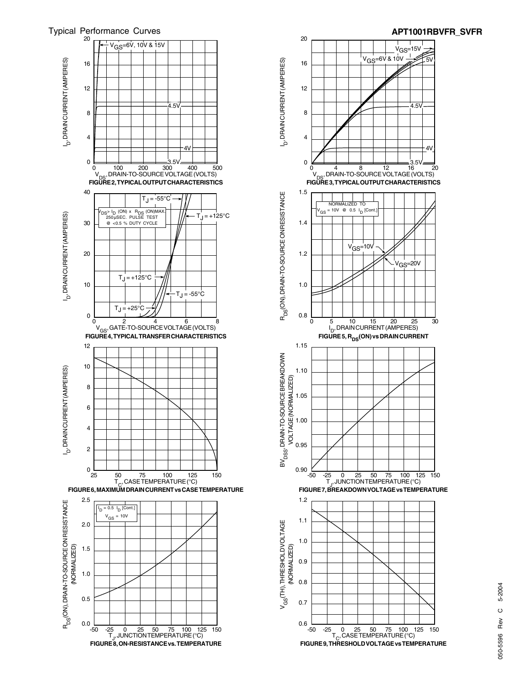



## 5-2004 050-5596 Rev C 5-2004  $\circ$ Rev 050-5596